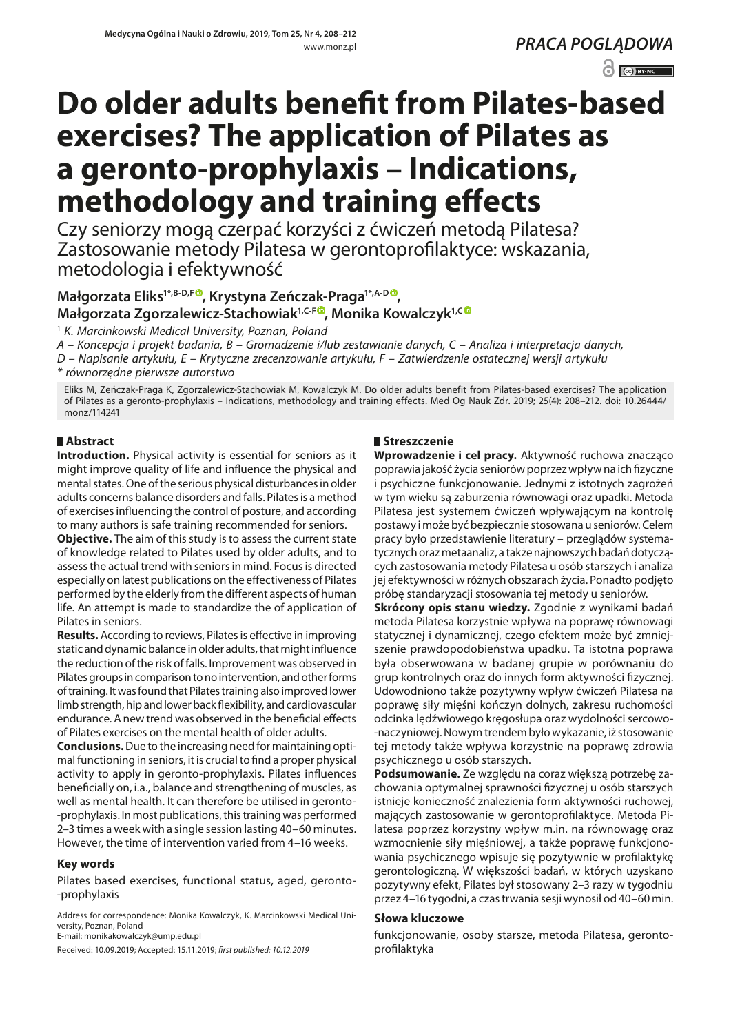*PRACA POGLĄDOWA*  $\odot$   $\odot$  BY-NC

# **Do older adults benefit from Pilates-based exercises? The application of Pilates as a geronto-prophylaxis – Indications, methodology and training effects**

Czy seniorzy mogą czerpać korzyści z ćwiczeń metodą Pilatesa? Zastosowanie metody Pilatesa w gerontoprofilaktyce: wskazania, metodologia i efektywność

## **Małgorzata Eliks1\*,B-D,[F](https://orcid.org/0000-0003-3476-0887) , Krystyna Zeńczak-Praga1\*,A-[D](https://orcid.org/0000-0002-7243-1307) , Małgorzata Zgorzalewicz-Stachowiak1,C-F , Monika Kowalczyk1,[C](https://orcid.org/0000-0002-7377-5881)**

1  *K. Marcinkowski Medical University, Poznan, Poland*

*A – Koncepcja i projekt badania, B – Gromadzenie i/lub zestawianie danych, C – Analiza i interpretacja danych,* 

*D – Napisanie artykułu, E – Krytyczne zrecenzowanie artykułu, F – Zatwierdzenie ostatecznej wersji artykułu*

*\* równorzędne pierwsze autorstwo*

Eliks M, Zeńczak-Praga K, Zgorzalewicz-Stachowiak M, Kowalczyk M. Do older adults benefit from Pilates-based exercises? The application of Pilates as a geronto-prophylaxis – Indications, methodology and training effects. Med Og Nauk Zdr. 2019; 25(4): 208–212. doi: 10.26444/ monz/114241

## **Abstract**

**Introduction.** Physical activity is essential for seniors as it might improve quality of life and influence the physical and mental states. One of the serious physical disturbances in older adults concerns balance disorders and falls. Pilates is a method of exercises influencing the control of posture, and according to many authors is safe training recommended for seniors.

**Objective.** The aim of this study is to assess the current state of knowledge related to Pilates used by older adults, and to assess the actual trend with seniors in mind. Focus is directed especially on latest publications on the effectiveness of Pilates performed by the elderly from the different aspects of human life. An attempt is made to standardize the of application of Pilates in seniors.

**Results.** According to reviews, Pilates is effective in improving static and dynamic balance in older adults, that might influence the reduction of the risk of falls. Improvement was observed in Pilates groups in comparison to no intervention, and other forms of training. It was found that Pilates training also improved lower limb strength, hip and lower back flexibility, and cardiovascular endurance. A new trend was observed in the beneficial effects of Pilates exercises on the mental health of older adults.

**Conclusions.** Due to the increasing need for maintaining optimal functioning in seniors, it is crucial to find a proper physical activity to apply in geronto-prophylaxis. Pilates influences beneficially on, i.a., balance and strengthening of muscles, as well as mental health. It can therefore be utilised in geronto- -prophylaxis. In most publications, this training was performed 2–3 times a week with a single session lasting 40–60 minutes. However, the time of intervention varied from 4–16 weeks.

## **Key words**

Pilates based exercises, functional status, aged, geronto- -prophylaxis

Address for correspondence: Monika Kowalczyk, K. Marcinkowski Medical University, Poznan, Poland

E-mail: monikakowalczyk@ump.edu.pl

Received: 10.09.2019; Accepted: 15.11.2019; *first published: 10.12.2019*

## **Streszczenie**

**Wprowadzenie i cel pracy.** Aktywność ruchowa znacząco poprawia jakość życia seniorów poprzez wpływ na ich fizyczne i psychiczne funkcjonowanie. Jednymi z istotnych zagrożeń w tym wieku są zaburzenia równowagi oraz upadki. Metoda Pilatesa jest systemem ćwiczeń wpływającym na kontrolę postawy i może być bezpiecznie stosowana u seniorów. Celem pracy było przedstawienie literatury – przeglądów systematycznych oraz metaanaliz, a także najnowszych badań dotyczących zastosowania metody Pilatesa u osób starszych i analiza jej efektywności w różnych obszarach życia. Ponadto podjęto próbę standaryzacji stosowania tej metody u seniorów.

**Skrócony opis stanu wiedzy.** Zgodnie z wynikami badań metoda Pilatesa korzystnie wpływa na poprawę równowagi statycznej i dynamicznej, czego efektem może być zmniejszenie prawdopodobieństwa upadku. Ta istotna poprawa była obserwowana w badanej grupie w porównaniu do grup kontrolnych oraz do innych form aktywności fizycznej. Udowodniono także pozytywny wpływ ćwiczeń Pilatesa na poprawę siły mięśni kończyn dolnych, zakresu ruchomości odcinka lędźwiowego kręgosłupa oraz wydolności sercowo- -naczyniowej. Nowym trendem było wykazanie, iż stosowanie tej metody także wpływa korzystnie na poprawę zdrowia psychicznego u osób starszych.

**Podsumowanie.** Ze względu na coraz większą potrzebę zachowania optymalnej sprawności fizycznej u osób starszych istnieje konieczność znalezienia form aktywności ruchowej, mających zastosowanie w gerontoprofilaktyce. Metoda Pilatesa poprzez korzystny wpływ m.in. na równowagę oraz wzmocnienie siły mięśniowej, a także poprawę funkcjonowania psychicznego wpisuje się pozytywnie w profilaktykę gerontologiczną. W większości badań, w których uzyskano pozytywny efekt, Pilates był stosowany 2–3 razy w tygodniu przez 4–16 tygodni, a czas trwania sesji wynosił od 40–60 min.

### **Słowa kluczowe**

funkcjonowanie, osoby starsze, metoda Pilatesa, gerontoprofilaktyka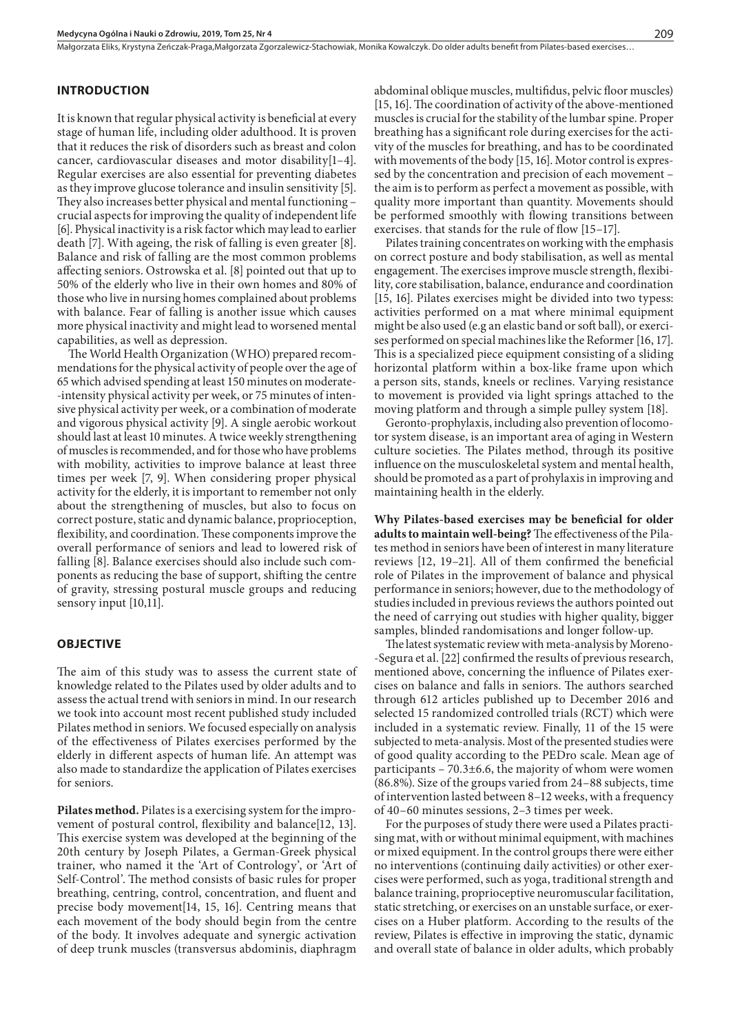Małgorzata Eliks, Krystyna Zeńczak-Praga,Małgorzata Zgorzalewicz-Stachowiak, Monika Kowalczyk . Do older adults benefit from Pilates-based exercises…

#### **INTRODUCTION**

It is known that regular physical activity is beneficial at every stage of human life, including older adulthood. It is proven that it reduces the risk of disorders such as breast and colon cancer, cardiovascular diseases and motor disability[1–4]. Regular exercises are also essential for preventing diabetes as they improve glucose tolerance and insulin sensitivity [5]. They also increases better physical and mental functioning – crucial aspects for improving the quality of independent life [6]. Physical inactivity is a risk factor which may lead to earlier death [7]. With ageing, the risk of falling is even greater [8]. Balance and risk of falling are the most common problems affecting seniors. Ostrowska et al. [8] pointed out that up to 50% of the elderly who live in their own homes and 80% of those who live in nursing homes complained about problems with balance. Fear of falling is another issue which causes more physical inactivity and might lead to worsened mental capabilities, as well as depression.

The World Health Organization (WHO) prepared recommendations for the physical activity of people over the age of 65 which advised spending at least 150 minutes on moderate- -intensity physical activity per week, or 75 minutes of intensive physical activity per week, or a combination of moderate and vigorous physical activity [9]. A single aerobic workout should last at least 10 minutes. A twice weekly strengthening of muscles is recommended, and for those who have problems with mobility, activities to improve balance at least three times per week [7, 9]. When considering proper physical activity for the elderly, it is important to remember not only about the strengthening of muscles, but also to focus on correct posture, static and dynamic balance, proprioception, flexibility, and coordination. These components improve the overall performance of seniors and lead to lowered risk of falling [8]. Balance exercises should also include such components as reducing the base of support, shifting the centre of gravity, stressing postural muscle groups and reducing sensory input [10,11].

#### **OBJECTIVE**

The aim of this study was to assess the current state of knowledge related to the Pilates used by older adults and to assess the actual trend with seniors in mind. In our research we took into account most recent published study included Pilates method in seniors. We focused especially on analysis of the effectiveness of Pilates exercises performed by the elderly in different aspects of human life. An attempt was also made to standardize the application of Pilates exercises for seniors.

**Pilates method.** Pilates is a exercising system for the improvement of postural control, flexibility and balance[12, 13]. This exercise system was developed at the beginning of the 20th century by Joseph Pilates, a German-Greek physical trainer, who named it the 'Art of Contrology', or 'Art of Self-Control'. The method consists of basic rules for proper breathing, centring, control, concentration, and fluent and precise body movement[14, 15, 16]. Centring means that each movement of the body should begin from the centre of the body. It involves adequate and synergic activation of deep trunk muscles (transversus abdominis, diaphragm

abdominal oblique muscles, multifidus, pelvic floor muscles) [15, 16]. The coordination of activity of the above-mentioned muscles is crucial for the stability of the lumbar spine. Proper breathing has a significant role during exercises for the activity of the muscles for breathing, and has to be coordinated with movements of the body [15, 16]. Motor control is expressed by the concentration and precision of each movement – the aim is to perform as perfect a movement as possible, with quality more important than quantity. Movements should be performed smoothly with flowing transitions between exercises. that stands for the rule of flow [15–17].

Pilates training concentrates on working with the emphasis on correct posture and body stabilisation, as well as mental engagement. The exercises improve muscle strength, flexibility, core stabilisation, balance, endurance and coordination [15, 16]. Pilates exercises might be divided into two typess: activities performed on a mat where minimal equipment might be also used (e.g an elastic band or soft ball), or exercises performed on special machines like the Reformer [16, 17]. This is a specialized piece equipment consisting of a sliding horizontal platform within a box-like frame upon which a person sits, stands, kneels or reclines. Varying resistance to movement is provided via light springs attached to the moving platform and through a simple pulley system [18].

Geronto-prophylaxis, including also prevention of locomotor system disease, is an important area of aging in Western culture societies. The Pilates method, through its positive influence on the musculoskeletal system and mental health, should be promoted as a part of prohylaxis in improving and maintaining health in the elderly.

**Why Pilates-based exercises may be beneficial for older adults to maintain well-being?** The effectiveness of the Pilates method in seniors have been of interest in many literature reviews [12, 19–21]. All of them confirmed the beneficial role of Pilates in the improvement of balance and physical performance in seniors; however, due to the methodology of studies included in previous reviews the authors pointed out the need of carrying out studies with higher quality, bigger samples, blinded randomisations and longer follow-up.

The latest systematic review with meta-analysis by Moreno- -Segura et al. [22] confirmed the results of previous research, mentioned above, concerning the influence of Pilates exercises on balance and falls in seniors. The authors searched through 612 articles published up to December 2016 and selected 15 randomized controlled trials (RCT) which were included in a systematic review. Finally, 11 of the 15 were subjected to meta-analysis. Most of the presented studies were of good quality according to the PEDro scale. Mean age of participants – 70.3±6.6, the majority of whom were women (86.8%). Size of the groups varied from 24–88 subjects, time of intervention lasted between 8–12 weeks, with a frequency of 40–60 minutes sessions, 2–3 times per week.

For the purposes of study there were used a Pilates practising mat, with or without minimal equipment, with machines or mixed equipment. In the control groups there were either no interventions (continuing daily activities) or other exercises were performed, such as yoga, traditional strength and balance training, proprioceptive neuromuscular facilitation, static stretching, or exercises on an unstable surface, or exercises on a Huber platform. According to the results of the review, Pilates is effective in improving the static, dynamic and overall state of balance in older adults, which probably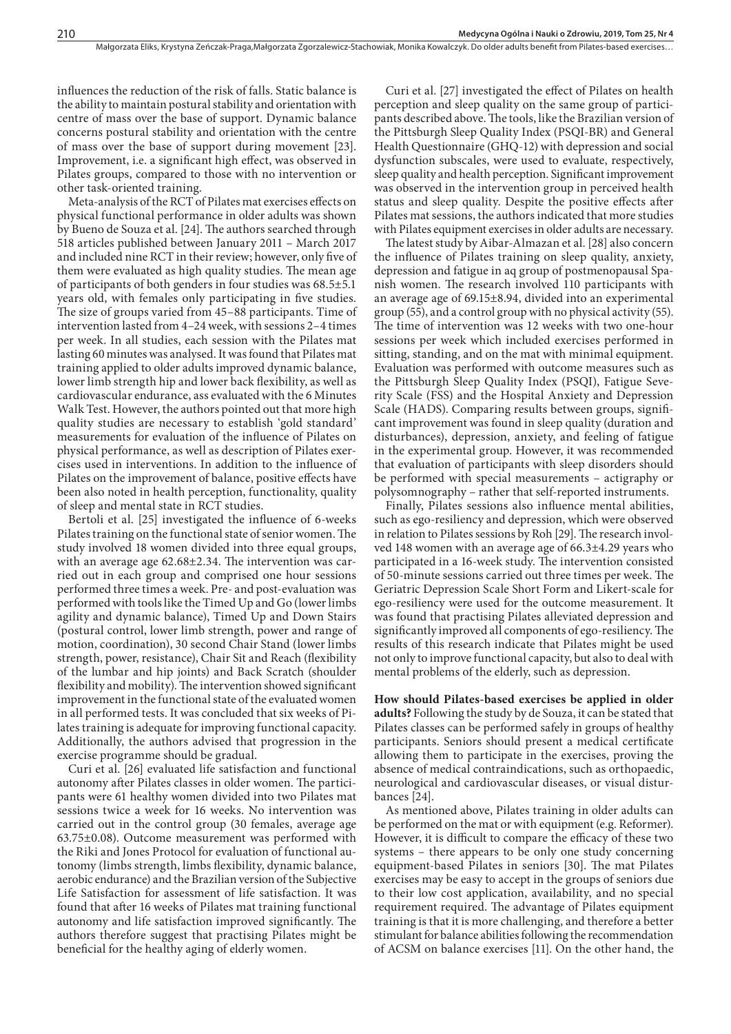influences the reduction of the risk of falls. Static balance is the ability to maintain postural stability and orientation with centre of mass over the base of support. Dynamic balance concerns postural stability and orientation with the centre of mass over the base of support during movement [23]. Improvement, i.e. a significant high effect, was observed in Pilates groups, compared to those with no intervention or other task-oriented training.

Meta-analysis of the RCT of Pilates mat exercises effects on physical functional performance in older adults was shown by Bueno de Souza et al. [24]. The authors searched through 518 articles published between January 2011 – March 2017 and included nine RCT in their review; however, only five of them were evaluated as high quality studies. The mean age of participants of both genders in four studies was 68.5±5.1 years old, with females only participating in five studies. The size of groups varied from 45–88 participants. Time of intervention lasted from 4–24 week, with sessions 2–4 times per week. In all studies, each session with the Pilates mat lasting 60 minutes was analysed. It was found that Pilates mat training applied to older adults improved dynamic balance, lower limb strength hip and lower back flexibility, as well as cardiovascular endurance, ass evaluated with the 6 Minutes Walk Test. However, the authors pointed out that more high quality studies are necessary to establish 'gold standard' measurements for evaluation of the influence of Pilates on physical performance, as well as description of Pilates exercises used in interventions. In addition to the influence of Pilates on the improvement of balance, positive effects have been also noted in health perception, functionality, quality of sleep and mental state in RCT studies.

Bertoli et al. [25] investigated the influence of 6-weeks Pilates training on the functional state of senior women. The study involved 18 women divided into three equal groups, with an average age 62.68±2.34. The intervention was carried out in each group and comprised one hour sessions performed three times a week. Pre- and post-evaluation was performed with tools like the Timed Up and Go (lower limbs agility and dynamic balance), Timed Up and Down Stairs (postural control, lower limb strength, power and range of motion, coordination), 30 second Chair Stand (lower limbs strength, power, resistance), Chair Sit and Reach (flexibility of the lumbar and hip joints) and Back Scratch (shoulder flexibility and mobility). The intervention showed significant improvement in the functional state of the evaluated women in all performed tests. It was concluded that six weeks of Pilates training is adequate for improving functional capacity. Additionally, the authors advised that progression in the exercise programme should be gradual.

Curi et al. [26] evaluated life satisfaction and functional autonomy after Pilates classes in older women. The participants were 61 healthy women divided into two Pilates mat sessions twice a week for 16 weeks. No intervention was carried out in the control group (30 females, average age 63.75±0.08). Outcome measurement was performed with the Riki and Jones Protocol for evaluation of functional autonomy (limbs strength, limbs flexibility, dynamic balance, aerobic endurance) and the Brazilian version of the Subjective Life Satisfaction for assessment of life satisfaction. It was found that after 16 weeks of Pilates mat training functional autonomy and life satisfaction improved significantly. The authors therefore suggest that practising Pilates might be beneficial for the healthy aging of elderly women.

Curi et al. [27] investigated the effect of Pilates on health perception and sleep quality on the same group of participants described above. The tools, like the Brazilian version of the Pittsburgh Sleep Quality Index (PSQI-BR) and General Health Questionnaire (GHQ-12) with depression and social dysfunction subscales, were used to evaluate, respectively, sleep quality and health perception. Significant improvement was observed in the intervention group in perceived health status and sleep quality. Despite the positive effects after Pilates mat sessions, the authors indicated that more studies with Pilates equipment exercises in older adults are necessary.

The latest study by Aibar-Almazan et al. [28] also concern the influence of Pilates training on sleep quality, anxiety, depression and fatigue in aq group of postmenopausal Spanish women. The research involved 110 participants with an average age of 69.15±8.94, divided into an experimental group (55), and a control group with no physical activity (55). The time of intervention was 12 weeks with two one-hour sessions per week which included exercises performed in sitting, standing, and on the mat with minimal equipment. Evaluation was performed with outcome measures such as the Pittsburgh Sleep Quality Index (PSQI), Fatigue Severity Scale (FSS) and the Hospital Anxiety and Depression Scale (HADS). Comparing results between groups, significant improvement was found in sleep quality (duration and disturbances), depression, anxiety, and feeling of fatigue in the experimental group. However, it was recommended that evaluation of participants with sleep disorders should be performed with special measurements – actigraphy or polysomnography – rather that self-reported instruments.

Finally, Pilates sessions also influence mental abilities, such as ego-resiliency and depression, which were observed in relation to Pilates sessions by Roh [29]. The research involved 148 women with an average age of 66.3±4.29 years who participated in a 16-week study. The intervention consisted of 50-minute sessions carried out three times per week. The Geriatric Depression Scale Short Form and Likert-scale for ego-resiliency were used for the outcome measurement. It was found that practising Pilates alleviated depression and significantly improved all components of ego-resiliency. The results of this research indicate that Pilates might be used not only to improve functional capacity, but also to deal with mental problems of the elderly, such as depression.

**How should Pilates-based exercises be applied in older adults?** Following the study by de Souza, it can be stated that Pilates classes can be performed safely in groups of healthy participants. Seniors should present a medical certificate allowing them to participate in the exercises, proving the absence of medical contraindications, such as orthopaedic, neurological and cardiovascular diseases, or visual disturbances [24].

As mentioned above, Pilates training in older adults can be performed on the mat or with equipment (e.g. Reformer). However, it is difficult to compare the efficacy of these two systems – there appears to be only one study concerning equipment-based Pilates in seniors [30]. The mat Pilates exercises may be easy to accept in the groups of seniors due to their low cost application, availability, and no special requirement required. The advantage of Pilates equipment training is that it is more challenging, and therefore a better stimulant for balance abilities following the recommendation of ACSM on balance exercises [11]. On the other hand, the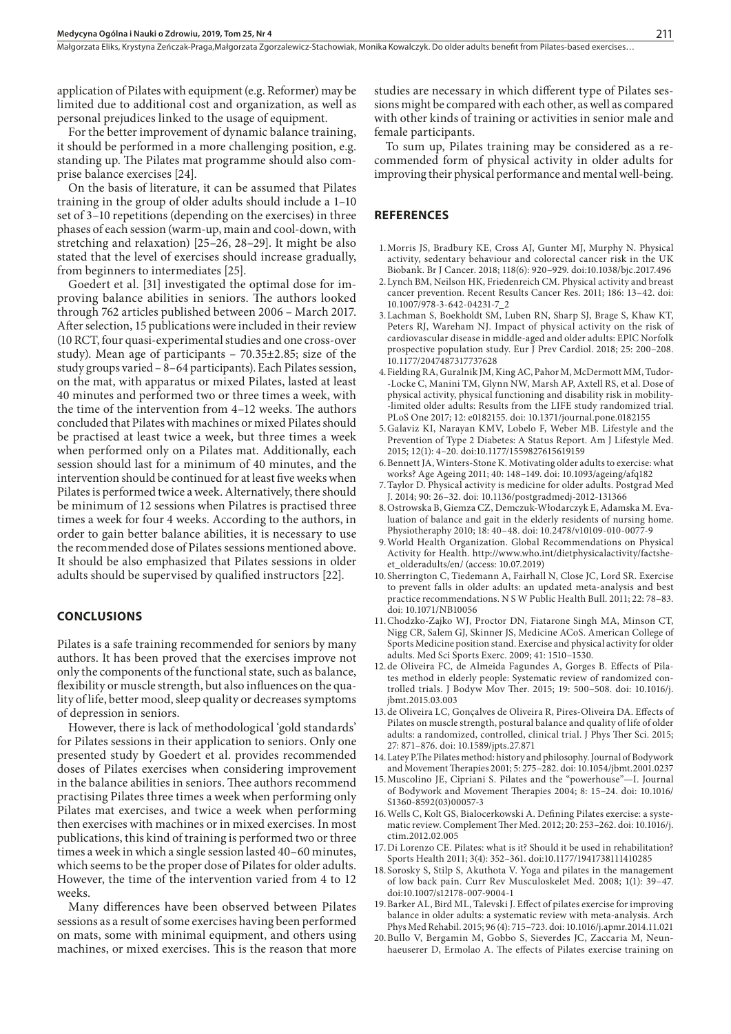application of Pilates with equipment (e.g. Reformer) may be limited due to additional cost and organization, as well as personal prejudices linked to the usage of equipment.

For the better improvement of dynamic balance training, it should be performed in a more challenging position, e.g. standing up. The Pilates mat programme should also comprise balance exercises [24].

On the basis of literature, it can be assumed that Pilates training in the group of older adults should include a 1–10 set of 3–10 repetitions (depending on the exercises) in three phases of each session (warm-up, main and cool-down, with stretching and relaxation) [25–26, 28–29]. It might be also stated that the level of exercises should increase gradually, from beginners to intermediates [25].

Goedert et al. [31] investigated the optimal dose for improving balance abilities in seniors. The authors looked through 762 articles published between 2006 – March 2017. After selection, 15 publications were included in their review (10 RCT, four quasi-experimental studies and one cross-over study). Mean age of participants – 70.35±2.85; size of the study groups varied – 8–64 participants). Each Pilates session, on the mat, with apparatus or mixed Pilates, lasted at least 40 minutes and performed two or three times a week, with the time of the intervention from 4–12 weeks. The authors concluded that Pilates with machines or mixed Pilates should be practised at least twice a week, but three times a week when performed only on a Pilates mat. Additionally, each session should last for a minimum of 40 minutes, and the intervention should be continued for at least five weeks when Pilates is performed twice a week. Alternatively, there should be minimum of 12 sessions when Pilatres is practised three times a week for four 4 weeks. According to the authors, in order to gain better balance abilities, it is necessary to use the recommended dose of Pilates sessions mentioned above. It should be also emphasized that Pilates sessions in older adults should be supervised by qualified instructors [22].

#### **CONCLUSIONS**

Pilates is a safe training recommended for seniors by many authors. It has been proved that the exercises improve not only the components of the functional state, such as balance, flexibility or muscle strength, but also influences on the quality of life, better mood, sleep quality or decreases symptoms of depression in seniors.

However, there is lack of methodological 'gold standards' for Pilates sessions in their application to seniors. Only one presented study by Goedert et al. provides recommended doses of Pilates exercises when considering improvement in the balance abilities in seniors. Thee authors recommend practising Pilates three times a week when performing only Pilates mat exercises, and twice a week when performing then exercises with machines or in mixed exercises. In most publications, this kind of training is performed two or three times a week in which a single session lasted 40–60 minutes, which seems to be the proper dose of Pilates for older adults. However, the time of the intervention varied from 4 to 12 weeks.

Many differences have been observed between Pilates sessions as a result of some exercises having been performed on mats, some with minimal equipment, and others using machines, or mixed exercises. This is the reason that more

studies are necessary in which different type of Pilates sessions might be compared with each other, as well as compared with other kinds of training or activities in senior male and female participants.

To sum up, Pilates training may be considered as a recommended form of physical activity in older adults for improving their physical performance and mental well-being.

#### **REFERENCES**

- 1.Morris JS, Bradbury KE, Cross AJ, Gunter MJ, Murphy N. Physical activity, sedentary behaviour and colorectal cancer risk in the UK Biobank. Br J Cancer. 2018; 118(6): 920–929. doi:10.1038/bjc.2017.496
- 2.Lynch BM, Neilson HK, Friedenreich CM. Physical activity and breast cancer prevention. Recent Results Cancer Res. 2011; 186: 13–42. doi: 10.1007/978-3-642-04231-7\_2
- 3.Lachman S, Boekholdt SM, Luben RN, Sharp SJ, Brage S, Khaw KT, Peters RJ, Wareham NJ. Impact of physical activity on the risk of cardiovascular disease in middle-aged and older adults: EPIC Norfolk prospective population study. Eur J Prev Cardiol. 2018; 25: 200–208. 10.1177/2047487317737628
- 4.Fielding RA, Guralnik JM, King AC, Pahor M, McDermott MM, Tudor- -Locke C, Manini TM, Glynn NW, Marsh AP, Axtell RS, et al. Dose of physical activity, physical functioning and disability risk in mobility- -limited older adults: Results from the LIFE study randomized trial. PLoS One 2017; 12: e0182155. doi: 10.1371/journal.pone.0182155
- 5.Galaviz KI, Narayan KMV, Lobelo F, Weber MB. Lifestyle and the Prevention of Type 2 Diabetes: A Status Report. Am J Lifestyle Med. 2015; 12(1): 4–20. doi:10.1177/1559827615619159
- 6.Bennett JA, Winters-Stone K. Motivating older adults to exercise: what works? Age Ageing 2011; 40: 148–149. doi: 10.1093/ageing/afq182
- 7.Taylor D. Physical activity is medicine for older adults. Postgrad Med J. 2014; 90: 26–32. doi: 10.1136/postgradmedj-2012-131366
- 8.Ostrowska B, Giemza CZ, Demczuk-Włodarczyk E, Adamska M. Evaluation of balance and gait in the elderly residents of nursing home. Physiotheraphy 2010; 18: 40–48. doi: 10.2478/v10109-010-0077-9
- 9.World Health Organization. Global Recommendations on Physical Activity for Health. http://www.who.int/dietphysicalactivity/factsheet\_olderadults/en/ (access: 10.07.2019)
- 10.Sherrington C, Tiedemann A, Fairhall N, Close JC, Lord SR. Exercise to prevent falls in older adults: an updated meta-analysis and best practice recommendations. N S W Public Health Bull. 2011; 22: 78–83. doi: 10.1071/NB10056
- 11.Chodzko-Zajko WJ, Proctor DN, Fiatarone Singh MA, Minson CT, Nigg CR, Salem GJ, Skinner JS, Medicine ACoS. American College of Sports Medicine position stand. Exercise and physical activity for older adults. Med Sci Sports Exerc. 2009; 41: 1510–1530.
- 12.de Oliveira FC, de Almeida Fagundes A, Gorges B. Effects of Pilates method in elderly people: Systematic review of randomized controlled trials. J Bodyw Mov Ther. 2015; 19: 500–508. doi: 10.1016/j. jbmt.2015.03.003
- 13.de Oliveira LC, Gonçalves de Oliveira R, Pires-Oliveira DA. Effects of Pilates on muscle strength, postural balance and quality of life of older adults: a randomized, controlled, clinical trial. J Phys Ther Sci. 2015; 27: 871–876. doi: 10.1589/jpts.27.871
- 14.Latey P.The Pilates method: history and philosophy. Journal of Bodywork and Movement Therapies 2001; 5: 275–282. doi: 10.1054/jbmt.2001.0237
- 15.Muscolino JE, Cipriani S. Pilates and the "powerhouse"—I. Journal of Bodywork and Movement Therapies 2004; 8: 15–24. doi: 10.1016/ S1360-8592(03)00057-3
- 16.Wells C, Kolt GS, Bialocerkowski A. Defining Pilates exercise: a systematic review. Complement Ther Med. 2012; 20: 253–262. doi: 10.1016/j. ctim.2012.02.005
- 17.Di Lorenzo CE. Pilates: what is it? Should it be used in rehabilitation? Sports Health 2011; 3(4): 352–361. doi:10.1177/1941738111410285
- 18.Sorosky S, Stilp S, Akuthota V. Yoga and pilates in the management of low back pain. Curr Rev Musculoskelet Med. 2008; 1(1): 39–47. doi:10.1007/s12178-007-9004-1
- 19.Barker AL, Bird ML, Talevski J. Effect of pilates exercise for improving balance in older adults: a systematic review with meta-analysis. Arch Phys Med Rehabil. 2015; 96 (4): 715–723. doi: 10.1016/j.apmr.2014.11.021
- 20.Bullo V, Bergamin M, Gobbo S, Sieverdes JC, Zaccaria M, Neunhaeuserer D, Ermolao A. The effects of Pilates exercise training on